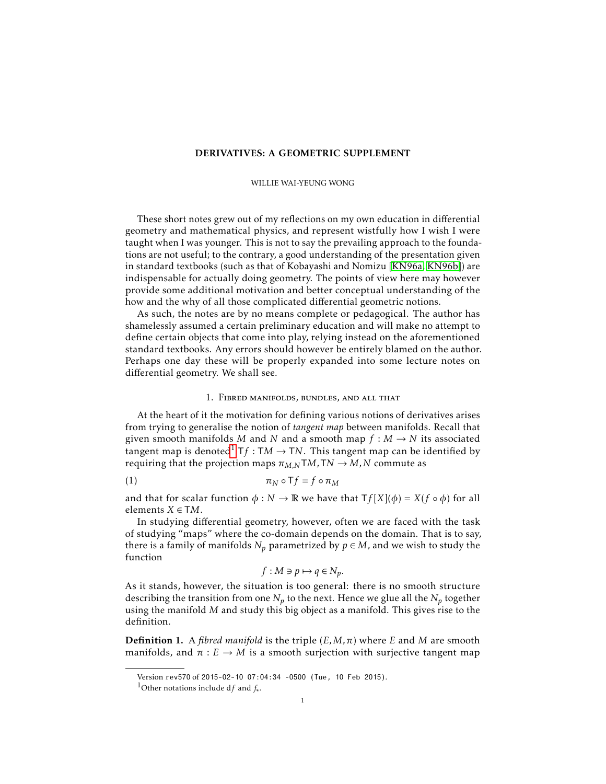### DERIVATIVES: A GEOMETRIC SUPPLEMENT

### WILLIE WAI-YEUNG WONG

These short notes grew out of my reflections on my own education in differential geometry and mathematical physics, and represent wistfully how I wish I were taught when I was younger. This is not to say the prevailing approach to the foundations are not useful; to the contrary, a good understanding of the presentation given in standard textbooks (such as that of Kobayashi and Nomizu [\[KN96a,](#page-10-0) [KN96b\]](#page-10-1)) are indispensable for actually doing geometry. The points of view here may however provide some additional motivation and better conceptual understanding of the how and the why of all those complicated differential geometric notions.

As such, the notes are by no means complete or pedagogical. The author has shamelessly assumed a certain preliminary education and will make no attempt to define certain objects that come into play, relying instead on the aforementioned standard textbooks. Any errors should however be entirely blamed on the author. Perhaps one day these will be properly expanded into some lecture notes on differential geometry. We shall see.

# 1. Fibred manifolds, bundles, and all that

At the heart of it the motivation for defining various notions of derivatives arises from trying to generalise the notion of *tangent map* between manifolds. Recall that given smooth manifolds *M* and *N* and a smooth map  $f : M \to N$  its associated tangent map is denoted<sup>[1](#page-0-0)</sup>  $Tf : TM \rightarrow TN$ . This tangent map can be identified by requiring that the projection maps  $\pi_{M,N}TM,TN \rightarrow M,N$  commute as

$$
\pi_N \circ \mathsf{T} f = f \circ \pi_M
$$

and that for scalar function  $\phi : N \to \mathbb{R}$  we have that  $Tf[X](\phi) = X(f \circ \phi)$  for all elements  $X \in TM$ .

In studying differential geometry, however, often we are faced with the task of studying "maps" where the co-domain depends on the domain. That is to say, there is a family of manifolds  $N_p$  parametrized by  $p \in M$ , and we wish to study the function

$$
f: M \ni p \mapsto q \in N_p.
$$

As it stands, however, the situation is too general: there is no smooth structure describing the transition from one  $N_p$  to the next. Hence we glue all the  $N_p$  together using the manifold *M* and study this big object as a manifold. This gives rise to the definition.

**Definition 1.** A *fibred manifold* is the triple  $(E, M, \pi)$  where *E* and *M* are smooth manifolds, and  $\pi : E \to M$  is a smooth surjection with surjective tangent map

Version rev570 of 2015-02-10 07:04:34 -0500 (Tue, 10 Feb 2015).

<span id="page-0-0"></span><sup>1</sup>Other notations include d*f* and *f*<sup>∗</sup> .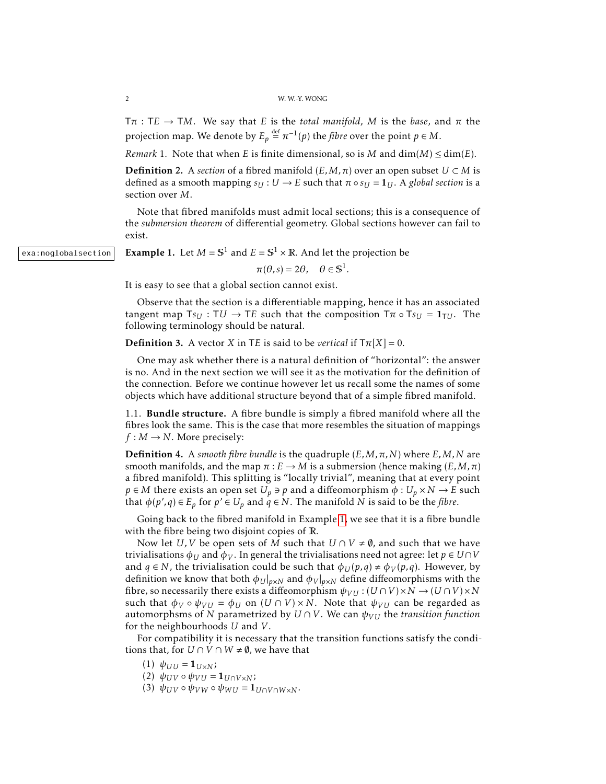$T\pi$ : TE  $\rightarrow$  TM. We say that *E* is the *total manifold*, *M* is the *base*, and  $\pi$  the projection map. We denote by  $E_p \stackrel{\text{def}}{=} \pi^{-1}(p)$  the *fibre* over the point  $p \in M$ .

*Remark* 1. Note that when *E* is finite dimensional, so is *M* and  $\dim(M) \leq \dim(E)$ .

**Definition** 2. A *section* of a fibred manifold  $(E, M, \pi)$  over an open subset  $U \subset M$  is defined as a smooth mapping  $s_U : U \to E$  such that  $\pi \circ s_U = 1_U$ . A *global section* is a section over *M*.

Note that fibred manifolds must admit local sections; this is a consequence of the *submersion theorem* of differential geometry. Global sections however can fail to exist.

 $\overline{\text{exa:nodlobalsection}}$  Example 1. Let  $M = \mathbb{S}^1$  and  $E = \mathbb{S}^1 \times \mathbb{R}$ . And let the projection be

 $\pi(\theta, s) = 2\theta, \quad \theta \in \mathbb{S}^1.$ 

<span id="page-1-0"></span>It is easy to see that a global section cannot exist.

Observe that the section is a differentiable mapping, hence it has an associated tangent map  $Ts_U : TU \rightarrow TE$  such that the composition  $T\pi \circ Ts_U = 1_{TU}$ . The following terminology should be natural.

**Definition 3.** A vector *X* in T*E* is said to be *vertical* if  $T\pi[X] = 0$ .

One may ask whether there is a natural definition of "horizontal": the answer is no. And in the next section we will see it as the motivation for the definition of the connection. Before we continue however let us recall some the names of some objects which have additional structure beyond that of a simple fibred manifold.

1.1. Bundle structure. A fibre bundle is simply a fibred manifold where all the fibres look the same. This is the case that more resembles the situation of mappings  $f : M \rightarrow N$ . More precisely:

Definition 4. A *smooth fibre bundle* is the quadruple (*E,M,π,N*) where *E,M,N* are smooth manifolds, and the map  $\pi : E \to M$  is a submersion (hence making  $(E, M, \pi)$ ) a fibred manifold). This splitting is "locally trivial", meaning that at every point *p*  $\in$  *M* there exists an open set  $U_p \ni p$  and a diffeomorphism  $\phi : U_p \times N \rightarrow E$  such that  $\phi(p', q) \in E_p$  for  $p' \in U_p$  and  $q \in N$ . The manifold  $N$  is said to be the *fibre*.

Going back to the fibred manifold in Example [1,](#page-1-0) we see that it is a fibre bundle with the fibre being two disjoint copies of R.

Now let *U*, *V* be open sets of *M* such that  $U \cap V \neq \emptyset$ , and such that we have trivialisations  $\phi_U$  and  $\phi_V$ . In general the trivialisations need not agree: let  $p \in U \cap V$ and  $q \in N$ , the trivialisation could be such that  $\phi_U(p,q) \neq \phi_V(p,q)$ . However, by definition we know that both  $\phi_U|_{p\times N}$  and  $\phi_V|_{p\times N}$  define diffeomorphisms with the fibre, so necessarily there exists a diffeomorphism  $\psi_{VU}$  :  $(U \cap V) \times N \rightarrow (U \cap V) \times N$ such that  $\phi_V \circ \psi_{VU} = \phi_U$  on  $(U \cap V) \times N$ . Note that  $\psi_{VU}$  can be regarded as automorphsms of *N* parametrized by  $U \cap V$ . We can  $\psi_{VU}$  the *transition function* for the neighbourhoods *U* and *V* .

For compatibility it is necessary that the transition functions satisfy the conditions that, for  $U \cap V \cap W \neq \emptyset$ , we have that

(1)  $ψ_{UU} = 1_{U \times N}$ ;

 $(2)$   $ψ_{UV}$   $\circ$   $ψ_{VU}$  = 1<sub>*U*∩*V*×*N*</sub>;

(3)  $\psi_{UV} \circ \psi_{VW} \circ \psi_{WU} = \mathbf{1}_{U \cap V \cap W \times V}$ .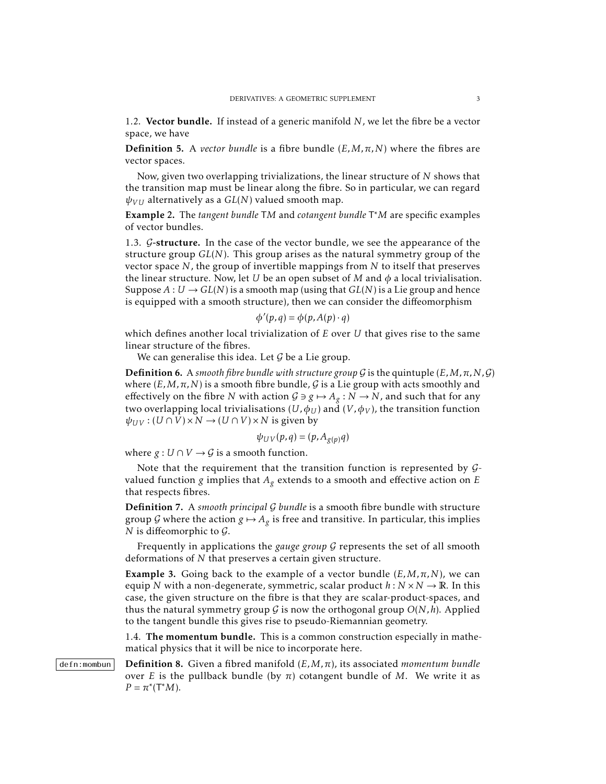1.2. Vector bundle. If instead of a generic manifold *N*, we let the fibre be a vector space, we have

**Definition 5.** A *vector bundle* is a fibre bundle  $(E, M, \pi, N)$  where the fibres are vector spaces.

Now, given two overlapping trivializations, the linear structure of *N* shows that the transition map must be linear along the fibre. So in particular, we can regard  $\psi$ <sub>*VII*</sub> alternatively as a *GL*(*N*) valued smooth map.

Example 2. The *tangent bundle* T*M* and *cotangent bundle* T <sup>∗</sup>*M* are specific examples of vector bundles.

1.3. G-structure. In the case of the vector bundle, we see the appearance of the structure group *GL*(*N*). This group arises as the natural symmetry group of the vector space *N*, the group of invertible mappings from *N* to itself that preserves the linear structure. Now, let *U* be an open subset of *M* and  $\phi$  a local trivialisation. Suppose  $A: U \to GL(N)$  is a smooth map (using that  $GL(N)$ ) is a Lie group and hence is equipped with a smooth structure), then we can consider the diffeomorphism

$$
\phi'(p,q) = \phi(p, A(p) \cdot q)
$$

which defines another local trivialization of *E* over *U* that gives rise to the same linear structure of the fibres.

We can generalise this idea. Let  $G$  be a Lie group.

**Definition 6.** A *smooth fibre bundle with structure group*  $G$  is the quintuple  $(E, M, \pi, N, G)$ where  $(E, M, \pi, N)$  is a smooth fibre bundle, G is a Lie group with acts smoothly and effectively on the fibre *N* with action  $G \ni g \mapsto A_g : N \to N$ , and such that for any two overlapping local trivialisations  $(U, \phi_U)$  and  $(V, \phi_V)$ , the transition function  $\psi_{UV}$  :  $(U \cap V) \times N \rightarrow (U \cap V) \times N$  is given by

$$
\psi_{UV}(p,q) = (p, A_{g(p)}q)
$$

where  $g: U \cap V \rightarrow G$  is a smooth function.

Note that the requirement that the transition function is represented by  $G$ valued function *g* implies that  $A_g$  extends to a smooth and effective action on *E* that respects fibres.

Definition 7. A *smooth principal* G *bundle* is a smooth fibre bundle with structure group G where the action  $g \mapsto A_g$  is free and transitive. In particular, this implies *N* is diffeomorphic to  $\mathcal{G}$ .

Frequently in applications the *gauge group* G represents the set of all smooth deformations of *N* that preserves a certain given structure.

**Example 3.** Going back to the example of a vector bundle  $(E, M, \pi, N)$ , we can equip *N* with a non-degenerate, symmetric, scalar product  $h : N \times N \rightarrow \mathbb{R}$ . In this case, the given structure on the fibre is that they are scalar-product-spaces, and thus the natural symmetry group  $G$  is now the orthogonal group  $O(N, h)$ . Applied to the tangent bundle this gives rise to pseudo-Riemannian geometry.

<span id="page-2-0"></span>1.4. The momentum bundle. This is a common construction especially in mathematical physics that it will be nice to incorporate here.

defn:mombun **Definition 8.** Given a fibred manifold  $(E, M, \pi)$ , its associated *momentum bundle* over *E* is the pullback bundle (by  $π$ ) cotangent bundle of *M*. We write it as  $P = \pi^*(T^*M).$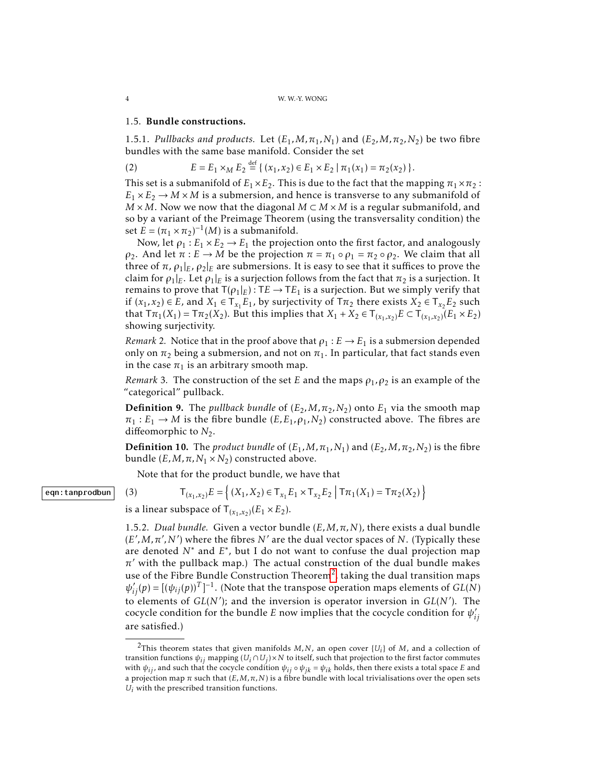### 1.5. Bundle constructions.

1.5.1. *Pullbacks and products.* Let  $(E_1, M, \pi_1, N_1)$  and  $(E_2, M, \pi_2, N_2)$  be two fibre bundles with the same base manifold. Consider the set

(2) 
$$
E = E_1 \times_M E_2 \stackrel{\text{def}}{=} \{ (x_1, x_2) \in E_1 \times E_2 \mid \pi_1(x_1) = \pi_2(x_2) \}.
$$

This set is a submanifold of  $E_1 \times E_2$ . This is due to the fact that the mapping  $\pi_1 \times \pi_2$ :  $E_1 \times E_2 \rightarrow M \times M$  is a submersion, and hence is transverse to any submanifold of  $M \times M$ . Now we now that the diagonal  $M \subset M \times M$  is a regular submanifold, and so by a variant of the Preimage Theorem (using the transversality condition) the set  $\mathbf{E} = (\pi_1 \times \pi_2)^{-1}(M)$  is a submanifold.

Now, let  $\rho_1 : E_1 \times E_2 \to E_1$  the projection onto the first factor, and analogously *ρ*<sub>2</sub>. And let *π* : *E* → *M* be the projection *π* = *π*<sub>1</sub> ◦ *ρ*<sub>1</sub> = *π*<sub>2</sub> ◦ *ρ*<sub>2</sub>. We claim that all three of  $\pi$ ,  $\rho_1|_E$ ,  $\rho_2|_E$  are submersions. It is easy to see that it suffices to prove the claim for  $\rho_1|_E$ . Let  $\rho_1|_E$  is a surjection follows from the fact that  $\pi_2$  is a surjection. It remains to prove that  $T(\rho_1|_E)$ : T $E \to TE_1$  is a surjection. But we simply verify that if  $(x_1, x_2) \in E$ , and  $X_1 \in T_{x_1}E_1$ , by surjectivity of  $T\pi_2$  there exists  $X_2 \in T_{x_2}E_2$  such that  $T\pi_1(X_1) = T\pi_2(X_2)$ . But this implies that  $X_1 + X_2 \in T_{(x_1, x_2)}E \subset T_{(x_1, x_2)}(E_1 \times E_2)$ showing surjectivity.

*Remark* 2. Notice that in the proof above that  $\rho_1 : E \to E_1$  is a submersion depended only on  $\pi_2$  being a submersion, and not on  $\pi_1$ . In particular, that fact stands even in the case  $\pi_1$  is an arbitrary smooth map.

*Remark* 3. The construction of the set *E* and the maps  $\rho_1$ ,  $\rho_2$  is an example of the "categorical" pullback.

**Definition 9.** The *pullback bundle* of  $(E_2, M, \pi_2, N_2)$  onto  $E_1$  via the smooth map  $\pi_1 : E_1 \to M$  is the fibre bundle  $(E, E_1, \rho_1, N_2)$  constructed above. The fibres are diffeomorphic to  $N_2$ .

**Definition 10.** The *product bundle* of  $(E_1, M, \pi_1, N_1)$  and  $(E_2, M, \pi_2, N_2)$  is the fibre bundle  $(E, M, \pi, N_1 \times N_2)$  constructed above.

Note that for the product bundle, we have that

$$
\mathsf{T}_{(x_1,x_2)}E = \left\{ (X_1, X_2) \in \mathsf{T}_{x_1} E_1 \times \mathsf{T}_{x_2} E_2 \mid \mathsf{T} \pi_1(X_1) = \mathsf{T} \pi_2(X_2) \right\}
$$

is a linear subspace of  $T_{(x_1, x_2)}(E_1 \times E_2)$ .

1.5.2. *Dual bundle.* Given a vector bundle  $(E, M, \pi, N)$ , there exists a dual bundle  $(E', M, \pi', N')$  where the fibres  $N'$  are the dual vector spaces of  $N$ . (Typically these are denoted *N*<sup>\*</sup> and *E*<sup>\*</sup>, but I do not want to confuse the dual projection map  $\pi'$  with the pullback map.) The actual construction of the dual bundle makes use of the Fibre Bundle Construction Theorem<sup>[2](#page-3-0)</sup>, taking the dual transition maps  $\psi'_{ij}(p) = [(\psi_{ij}(p))^T]^{-1}$ . (Note that the transpose operation maps elements of *GL*(*N*) to elements of  $GL(N')$ ; and the inversion is operator inversion in  $GL(N')$ . The cocycle condition for the bundle *E* now implies that the cocycle condition for  $\psi_i$ *ij* are satisfied.)

### eqn:tanprodbun | (3)

<span id="page-3-0"></span><sup>&</sup>lt;sup>2</sup>This theorem states that given manifolds  $M, N$ , an open cover  $\{U_i\}$  of  $M$ , and a collection of transition functions  $\psi_{ij}$  mapping  $(U_i \cap U_j) \times N$  to itself, such that projection to the first factor commutes with  $\psi_{ij}$ , and such that the cocycle condition  $\psi_{ij} \circ \psi_{jk} = \psi_{ik}$  holds, then there exists a total space *E* and a projection map  $\pi$  such that  $(E, M, \pi, N)$  is a fibre bundle with local trivialisations over the open sets *Ui* with the prescribed transition functions.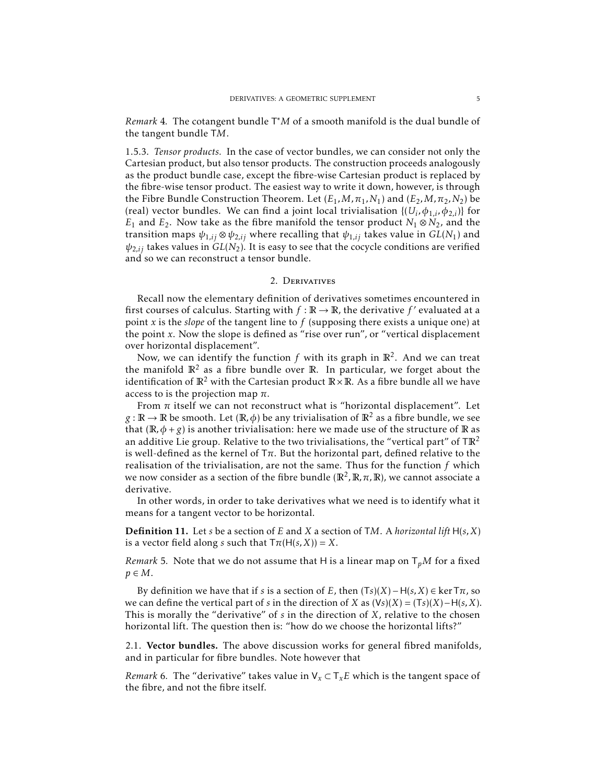*Remark* 4*.* The cotangent bundle T <sup>∗</sup>*M* of a smooth manifold is the dual bundle of the tangent bundle T*M*.

1.5.3. *Tensor products.* In the case of vector bundles, we can consider not only the Cartesian product, but also tensor products. The construction proceeds analogously as the product bundle case, except the fibre-wise Cartesian product is replaced by the fibre-wise tensor product. The easiest way to write it down, however, is through the Fibre Bundle Construction Theorem. Let  $(E_1, M, \pi_1, N_1)$  and  $(E_2, M, \pi_2, N_2)$  be (real) vector bundles. We can find a joint local trivialisation  $\{(U_i, \phi_{1,i}, \phi_{2,i})\}$  for *E*<sub>1</sub> and *E*<sub>2</sub>. Now take as the fibre manifold the tensor product *N*<sub>1</sub> ⊗ *N*<sub>2</sub>, and the transition maps  $\psi_{1,ij} \otimes \psi_{2,ij}$  where recalling that  $\psi_{1,ij}$  takes value in  $GL(N_1)$  and  $\psi_{2,ij}$  takes values in  $GL(N_2)$ . It is easy to see that the cocycle conditions are verified and so we can reconstruct a tensor bundle.

# 2. Derivatives

Recall now the elementary definition of derivatives sometimes encountered in first courses of calculus. Starting with  $f : \mathbb{R} \to \mathbb{R}$ , the derivative  $f'$  evaluated at a point *x* is the *slope* of the tangent line to *f* (supposing there exists a unique one) at the point *x*. Now the slope is defined as "rise over run", or "vertical displacement over horizontal displacement".

Now, we can identify the function  $f$  with its graph in  $\mathbb{R}^2$ . And we can treat the manifold  $\mathbb{R}^2$  as a fibre bundle over  $\mathbb{R}$ . In particular, we forget about the identification of  $\mathbb{R}^2$  with the Cartesian product  $\mathbb{R} \times \mathbb{R}$ . As a fibre bundle all we have access to is the projection map *π*.

From  $\pi$  itself we can not reconstruct what is "horizontal displacement". Let  $g : \mathbb{R} \to \mathbb{R}$  be smooth. Let  $(\mathbb{R}, \phi)$  be any trivialisation of  $\mathbb{R}^2$  as a fibre bundle, we see that  $(\mathbb{R}, \phi + g)$  is another trivialisation: here we made use of the structure of  $\mathbb{R}$  as an additive Lie group. Relative to the two trivialisations, the "vertical part" of  $TR^2$ is well-defined as the kernel of  $T\pi$ . But the horizontal part, defined relative to the realisation of the trivialisation, are not the same. Thus for the function *f* which we now consider as a section of the fibre bundle ( $\mathbb{R}^2$ ,  $\mathbb{R}, \pi, \mathbb{R}$ ), we cannot associate a derivative.

In other words, in order to take derivatives what we need is to identify what it means for a tangent vector to be horizontal.

Definition 11. Let *s* be a section of *E* and *X* a section of T*M*. A *horizontal lift* H(*s,X*) is a vector field along *s* such that  $T\pi(H(s, X)) = X$ .

*Remark* 5. Note that we do not assume that H is a linear map on  $T_pM$  for a fixed  $p \in M$ .

By definition we have that if *s* is a section of *E*, then  $(Ts)(X) - H(s, X) \in \text{ker } T\pi$ , so we can define the vertical part of *s* in the direction of *X* as (V*s*)(*X*) = (T*s*)(*X*)−H(*s,X*). This is morally the "derivative" of *s* in the direction of *X*, relative to the chosen horizontal lift. The question then is: "how do we choose the horizontal lifts?"

2.1. Vector bundles. The above discussion works for general fibred manifolds, and in particular for fibre bundles. Note however that

*Remark* 6. The "derivative" takes value in  $V_x \subset T_x E$  which is the tangent space of the fibre, and not the fibre itself.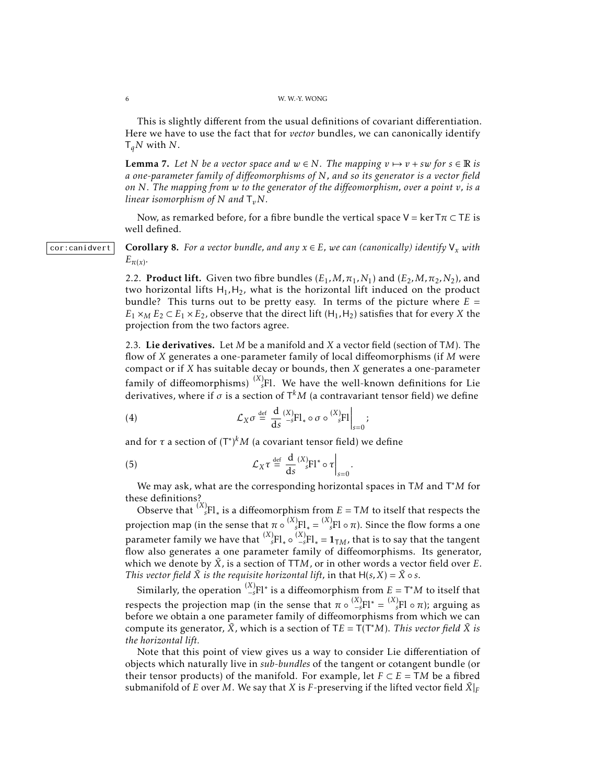### 6 W. W.-Y. WONG

This is slightly different from the usual definitions of covariant differentiation. Here we have to use the fact that for *vector* bundles, we can canonically identify T*qN* with *N*.

**Lemma 7.** Let N be a vector space and  $w \in N$ . The mapping  $v \mapsto v + sw$  for  $s \in \mathbb{R}$  is *a one-parameter family of diffeomorphisms of N, and so its generator is a vector field on N. The mapping from w to the generator of the diffeomorphism, over a point v, is a linear isomorphism of*  $N$  *and*  $T_vN$ *.* 

<span id="page-5-0"></span>Now, as remarked before, for a fibre bundle the vertical space  $V = \ker T\pi \subset TE$  is well defined.

cor:canidvert **Corollary 8.** For a vector bundle, and any  $x \in E$ , we can (canonically) identify  $V_x$  with  $E_{\pi(x)}$ .

> 2.2. **Product lift.** Given two fibre bundles  $(E_1, M, \pi_1, N_1)$  and  $(E_2, M, \pi_2, N_2)$ , and two horizontal lifts  $H_1$ ,  $H_2$ , what is the horizontal lift induced on the product bundle? This turns out to be pretty easy. In terms of the picture where *E* =  $E_1 \times_M E_2 \subset E_1 \times E_2$ , observe that the direct lift (H<sub>1</sub>, H<sub>2</sub>) satisfies that for every *X* the projection from the two factors agree.

> 2.3. Lie derivatives. Let *M* be a manifold and *X* a vector field (section of T*M*). The flow of *X* generates a one-parameter family of local diffeomorphisms (if *M* were compact or if *X* has suitable decay or bounds, then *X* generates a one-parameter family of diffeomorphisms)  $\binom{X}{s}$ Fl. We have the well-known definitions for Lie derivatives, where if  $\sigma$  is a section of  $\mathsf{T}^k M$  (a contravariant tensor field) we define

(4) 
$$
\mathcal{L}_X \sigma \stackrel{\text{def}}{=} \frac{d}{ds} \Big|_{-s}^{(X)} F l_* \circ \sigma \circ \Big|_{s=0}^{(X)} F l \Big|_{s=0};
$$

and for  $\tau$  a section of  $(T^*)^k M$  (a covariant tensor field) we define

(5) 
$$
\mathcal{L}_X \tau \stackrel{\text{def}}{=} \frac{d}{ds} \left. \begin{matrix} (X) \\ s \end{matrix} F l^* \circ \tau \right|_{s=0}
$$

We may ask, what are the corresponding horizontal spaces in T*M* and T <sup>∗</sup>*M* for these definitions?

*.*

Observe that  $\binom{X}{s}$ Fl<sub>\*</sub> is a diffeomorphism from  $E = TM$  to itself that respects the projection map (in the sense that  $\pi \circ \frac{(X)}{sFl_*} = \frac{(X)}{sFl} \circ \pi$ ). Since the flow forms a one parameter family we have that  $\binom{X}{s}$ Fl<sub>\*</sub>  $\circ$   $\binom{X}{-s}$ Fl<sub>\*</sub> =  $\mathbf{1}_{\mathsf{T} M}$ , that is to say that the tangent flow also generates a one parameter family of diffeomorphisms. Its generator, which we denote by  $\tilde{X}$ , is a section of TTM, or in other words a vector field over *E*. *This vector field*  $\tilde{X}$  *is the requisite horizontal lift,* in that  $H(s, X) = \tilde{X} \circ s$ .

Similarly, the operation  $\binom{X}{-S}F$ l\* is a diffeomorphism from  $E = T^*M$  to itself that respects the projection map (in the sense that  $\pi \circ \frac{(X)}{-s} \text{Fl}^* = \frac{(X)}{s} \text{Fl} \circ \pi$ ); arguing as before we obtain a one parameter family of diffeomorphisms from which we can compute its generator,  $\overline{X}$ , which is a section of TE =  $\overline{T(T^*M)}$ . *This vector field*  $\overline{X}$  *is the horizontal lift.*

Note that this point of view gives us a way to consider Lie differentiation of objects which naturally live in *sub-bundles* of the tangent or cotangent bundle (or their tensor products) of the manifold. For example, let  $F \subset E = TM$  be a fibred submanifold of *E* over *M*. We say that *X* is *F*-preserving if the lifted vector field  $\tilde{X}|_F$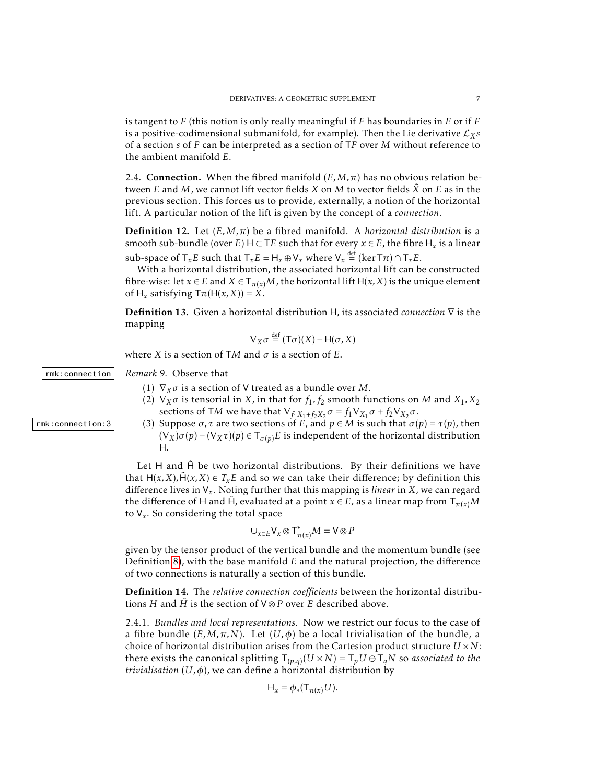is tangent to *F* (this notion is only really meaningful if *F* has boundaries in *E* or if *F* is a positive-codimensional submanifold, for example). Then the Lie derivative  $\mathcal{L}_X s$ of a section *s* of *F* can be interpreted as a section of T*F* over *M* without reference to the ambient manifold *E*.

2.4. **Connection.** When the fibred manifold  $(E, M, \pi)$  has no obvious relation between *E* and *M*, we cannot lift vector fields *X* on *M* to vector fields  $\tilde{X}$  on *E* as in the previous section. This forces us to provide, externally, a notion of the horizontal lift. A particular notion of the lift is given by the concept of a *connection*.

**Definition 12.** Let  $(E, M, \pi)$  be a fibred manifold. A *horizontal distribution* is a smooth sub-bundle (over *E*)  $H \subset TE$  such that for every  $x \in E$ , the fibre  $H_x$  is a linear sub-space of  $\mathsf{T}_x E$  such that  $\mathsf{T}_x E = \mathsf{H}_x \oplus \mathsf{V}_x$  where  $\mathsf{V}_x \stackrel{\text{def}}{=} (\ker \mathsf{T} \pi) \cap \mathsf{T}_x E$ .

With a horizontal distribution, the associated horizontal lift can be constructed fibre-wise: let  $x \in E$  and  $X \in T_{\pi(x)}M$ , the horizontal lift  $H(x, X)$  is the unique element of  $H_x$  satisfying  $T\pi(H(x, X)) = X$ .

Definition 13. Given a horizontal distribution H, its associated *connection* ∇ is the mapping

$$
\nabla_X \sigma \stackrel{\text{def}}{=} (\mathsf{T}\sigma)(X) - \mathsf{H}(\sigma, X)
$$

where *X* is a section of TM and  $\sigma$  is a section of *E*.

rmk:connection *Remark* 9*.* Observe that

- (1) ∇*Xσ* is a section of V treated as a bundle over *M*.
- (2)  $\nabla_X \sigma$  is tensorial in *X*, in that for  $f_1, f_2$  smooth functions on *M* and  $X_1, X_2$ sections of T*M* we have that  $\nabla_{f_1 X_1 + f_2 X_2} \sigma = f_1 \nabla_{X_1} \sigma + f_2 \nabla_{X_2} \sigma$ .
- $rmk:connection:3$  (3) Suppose  $\sigma, \tau$  are two sections of  $E$ , and  $p \in M$  is such that  $\sigma(p) = \tau(p)$ , then  $(\nabla_X)\sigma(p) - (\nabla_X\tau)(p) \in \mathsf{T}_{\sigma(p)}E$  is independent of the horizontal distribution H.

Let  $H$  and  $\tilde{H}$  be two horizontal distributions. By their definitions we have that  $H(x, X)$ ,  $\hat{H}(x, X) \in T_x E$  and so we can take their difference; by definition this difference lives in V*<sup>x</sup>* . Noting further that this mapping is *linear* in *X*, we can regard the difference of H and H̄, evaluated at a point  $x \in E$ , as a linear map from  $\mathsf{T}_{\pi(x)}M$ to V*<sup>x</sup>* . So considering the total space

$$
\cup_{x\in E} \mathsf{V}_x\otimes \mathsf{T}^*_{\pi(x)}M=\mathsf{V}\otimes P
$$

given by the tensor product of the vertical bundle and the momentum bundle (see Definition [8\)](#page-2-0), with the base manifold *E* and the natural projection, the difference of two connections is naturally a section of this bundle.

Definition 14. The *relative connection coefficients* between the horizontal distributions *H* and  $\tilde{H}$  is the section of  $V \otimes P$  over *E* described above.

2.4.1. *Bundles and local representations.* Now we restrict our focus to the case of a fibre bundle  $(E, M, \pi, N)$ . Let  $(U, \phi)$  be a local trivialisation of the bundle, a choice of horizontal distribution arises from the Cartesion product structure *U* ×*N*: there exists the canonical splitting  $T_{(p,q)}(U \times N) = T_p U \oplus T_q N$  so *associated to the trivialisation* (*U,φ*), we can define a horizontal distribution by

$$
H_x = \phi_*(T_{\pi(x)}U).
$$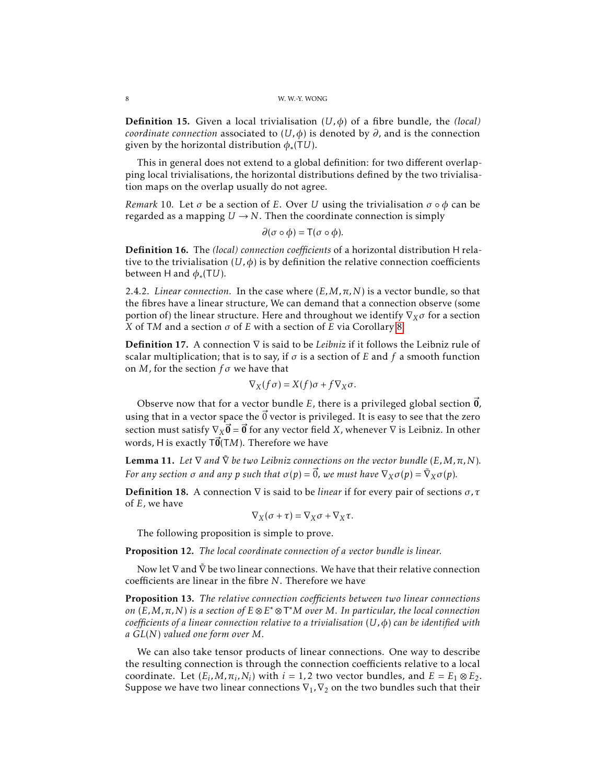**Definition 15.** Given a local trivialisation  $(U, \phi)$  of a fibre bundle, the *(local) coordinate connection* associated to  $(U, \phi)$  is denoted by  $\partial$ , and is the connection given by the horizontal distribution *φ*∗ (T*U*).

This in general does not extend to a global definition: for two different overlapping local trivialisations, the horizontal distributions defined by the two trivialisation maps on the overlap usually do not agree.

*Remark* 10. Let  $\sigma$  be a section of *E*. Over *U* using the trivialisation  $\sigma \circ \phi$  can be regarded as a mapping  $U \rightarrow N$ . Then the coordinate connection is simply

$$
\partial(\sigma\circ\phi)=\mathsf{T}(\sigma\circ\phi).
$$

Definition 16. The *(local) connection coefficients* of a horizontal distribution H relative to the trivialisation ( $U, \phi$ ) is by definition the relative connection coefficients between H and  $\phi_*(TU)$ .

2.4.2. *Linear connection.* In the case where  $(E, M, \pi, N)$  is a vector bundle, so that the fibres have a linear structure, We can demand that a connection observe (some portion of) the linear structure. Here and throughout we identify ∇*Xσ* for a section *X* of T*M* and a section *σ* of *E* with a section of *E* via Corollary [8.](#page-5-0)

Definition 17. A connection ∇ is said to be *Leibniz* if it follows the Leibniz rule of scalar multiplication; that is to say, if *σ* is a section of *E* and *f* a smooth function on *M*, for the section *f σ* we have that

$$
\nabla_X(f\sigma)=X(f)\sigma+f\nabla_X\sigma.
$$

Observe now that for a vector bundle *E*, there is a privileged global section  $\vec{0}$ , using that in a vector space the  $\vec{0}$  vector is privileged. It is easy to see that the zero section must satisfy  $\nabla_X \vec{\bm{0}} = \vec{\bm{0}}$  for any vector field *X*, whenever  $\nabla$  is Leibniz. In other words, H is exactly  $T\vec{0}(TM)$ . Therefore we have

**Lemma 11.** Let  $\nabla$  and  $\tilde{\nabla}$  be two Leibniz connections on the vector bundle (E, M,  $\pi$ , N). *For any section*  $\sigma$  *and any*  $p$  *such that*  $\sigma(p) = \vec{0}$ *, we must have*  $\nabla_X \sigma(p) = \tilde{\nabla}_X \sigma(p).$ 

Definition 18. A connection ∇ is said to be *linear* if for every pair of sections *σ,τ* of *E*, we have

$$
\nabla_X(\sigma+\tau)=\nabla_X\sigma+\nabla_X\tau.
$$

The following proposition is simple to prove.

Proposition 12. *The local coordinate connection of a vector bundle is linear.*

Now let  $\nabla$  and  $\bar{\nabla}$  be two linear connections. We have that their relative connection coefficients are linear in the fibre *N*. Therefore we have

Proposition 13. *The relative connection coefficients between two linear connections on* (*E,M,π,N*) *is a section of E* ⊗*E* <sup>∗</sup> ⊗T <sup>∗</sup>*M over M. In particular, the local connection coefficients of a linear connection relative to a trivialisation* (*U,φ*) *can be identified with a GL*(*N*) *valued one form over M.*

We can also take tensor products of linear connections. One way to describe the resulting connection is through the connection coefficients relative to a local coordinate. Let  $(E_i, M, \pi_i, N_i)$  with  $i = 1, 2$  two vector bundles, and  $E = E_1 \otimes E_2$ . Suppose we have two linear connections  $\nabla_1$ ,  $\nabla_2$  on the two bundles such that their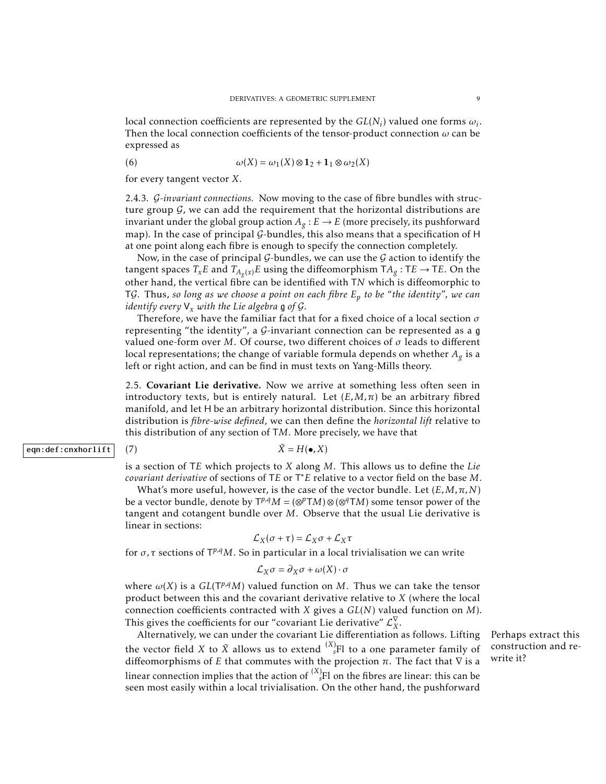local connection coefficients are represented by the  $GL(N_i)$  valued one forms  $\omega_i$ . Then the local connection coefficients of the tensor-product connection *ω* can be expressed as

(6) 
$$
\omega(X) = \omega_1(X) \otimes \mathbf{1}_2 + \mathbf{1}_1 \otimes \omega_2(X)
$$

for every tangent vector *X*.

2.4.3. G*-invariant connections.* Now moving to the case of fibre bundles with structure group  $G$ , we can add the requirement that the horizontal distributions are invariant under the global group action  $A_g : E \to E$  (more precisely, its pushforward map). In the case of principal G-bundles, this also means that a specification of H at one point along each fibre is enough to specify the connection completely.

Now, in the case of principal  $G$ -bundles, we can use the  $G$  action to identify the tangent spaces  $T_x E$  and  $T_{A_g(x)} E$  using the diffeomorphism  $T A_g : TE \rightarrow TE$ . On the other hand, the vertical fibre can be identified with T*N* which is diffeomorphic to TG. Thus, *so long as we choose a point on each fibre E<sup>p</sup> to be "the identity", we can identify every*  $V_x$  *with the Lie algebra* **g** *of*  $G$ *.* 

Therefore, we have the familiar fact that for a fixed choice of a local section *σ* representing "the identity", a G-invariant connection can be represented as a g valued one-form over *M*. Of course, two different choices of *σ* leads to different local representations; the change of variable formula depends on whether *A<sup>g</sup>* is a left or right action, and can be find in must texts on Yang-Mills theory.

2.5. Covariant Lie derivative. Now we arrive at something less often seen in introductory texts, but is entirely natural. Let  $(E, M, \pi)$  be an arbitrary fibred manifold, and let H be an arbitrary horizontal distribution. Since this horizontal distribution is *fibre-wise defined*, we can then define the *horizontal lift* relative to this distribution of any section of T*M*. More precisely, we have that

# eqn:def:cnxhorlift  $(7)$   $\tilde{X} = H(\bullet, X)$

is a section of T*E* which projects to *X* along *M*. This allows us to define the *Lie covariant derivative* of sections of T*E* or T <sup>∗</sup>*E* relative to a vector field on the base *M*.

What's more useful, however, is the case of the vector bundle. Let  $(E, M, \pi, N)$ be a vector bundle, denote by  $T^{p,q}M = (\otimes^p TM) \otimes (\otimes^q TM)$  some tensor power of the tangent and cotangent bundle over *M*. Observe that the usual Lie derivative is linear in sections:

$$
\mathcal{L}_X(\sigma + \tau) = \mathcal{L}_X \sigma + \mathcal{L}_X \tau
$$

for *σ*, *τ* sections of  $T^{p,q}M$ . So in particular in a local trivialisation we can write

$$
\mathcal{L}_X \sigma = \partial_X \sigma + \omega(X) \cdot \sigma
$$

where  $\omega(X)$  is a  $GL(T^{p,q}M)$  valued function on M. Thus we can take the tensor product between this and the covariant derivative relative to *X* (where the local connection coefficients contracted with *X* gives a *GL*(*N*) valued function on *M*). This gives the coefficients for our "covariant Lie derivative"  $\mathcal{L}^{\nabla}_{X}$ *X* .

Alternatively, we can under the covariant Lie differentiation as follows. Lifting Perhaps extract this the vector field *X* to  $\tilde{X}$  allows us to extend  $\binom{X}{s}$  to a one parameter family of diffeomorphisms of *E* that commutes with the projection  $\pi$ . The fact that  $\nabla$  is a linear connection implies that the action of  ${}^{(X)}\!_s\!Fl$  on the fibres are linear: this can be seen most easily within a local trivialisation. On the other hand, the pushforward

construction and rewrite it?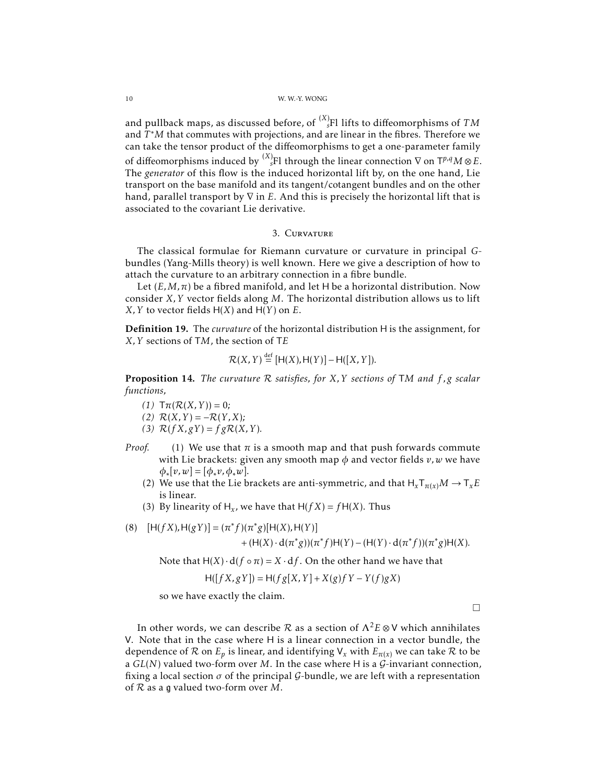### 10 W. W.-Y. WONG

and pullback maps, as discussed before, of  $\prescript{(X)}{s}{F}$ l lifts to diffeomorphisms of  $TM$ and *T* <sup>∗</sup>*M* that commutes with projections, and are linear in the fibres. Therefore we can take the tensor product of the diffeomorphisms to get a one-parameter family of diffeomorphisms induced by  $\binom{X}{s}$  through the linear connection  $\nabla$  on T<sup>p,q</sup>M  $\otimes$  E. The *generator* of this flow is the induced horizontal lift by, on the one hand, Lie transport on the base manifold and its tangent/cotangent bundles and on the other hand, parallel transport by ∇ in *E*. And this is precisely the horizontal lift that is associated to the covariant Lie derivative.

# 3. Curvature

The classical formulae for Riemann curvature or curvature in principal *G*bundles (Yang-Mills theory) is well known. Here we give a description of how to attach the curvature to an arbitrary connection in a fibre bundle.

Let  $(E, M, \pi)$  be a fibred manifold, and let H be a horizontal distribution. Now consider *X,Y* vector fields along *M*. The horizontal distribution allows us to lift *X*, *Y* to vector fields  $H(X)$  and  $H(Y)$  on *E*.

Definition 19. The *curvature* of the horizontal distribution H is the assignment, for *X,Y* sections of T*M*, the section of T*E*

$$
\mathcal{R}(X,Y) \stackrel{\text{def}}{=} [H(X),H(Y)] - H([X,Y]).
$$

Proposition 14. *The curvature* R *satisfies, for X,Y sections of* T*M and f ,g scalar functions,*

- $(T)$   $\mathsf{Tr}(\mathcal{R}(X,Y)) = 0;$
- $(R(X, Y) = -R(Y, X);$
- (3)  $\mathcal{R}(f X, g Y) = f g \mathcal{R}(X, Y)$ .
- *Proof.* (1) We use that  $\pi$  is a smooth map and that push forwards commute with Lie brackets: given any smooth map  $\phi$  and vector fields  $v, w$  we have  $\phi_*[v,w] = [\phi_*v, \phi_*w].$ 
	- (2) We use that the Lie brackets are anti-symmetric, and that  $H_xT_{\pi(x)}M \to T_xE$ is linear.
	- (3) By linearity of  $H_x$ , we have that  $H(fX) = fH(X)$ . Thus

(8) 
$$
[H(fX),H(gY)] = (\pi^*f)(\pi^*g)[H(X),H(Y)] + (H(X) \cdot d(\pi^*g))(\pi^*f)H(Y) - (H(Y) \cdot d(\pi^*f))(\pi^*g)H(X).
$$

Note that  $H(X) \cdot d(f \circ \pi) = X \cdot df$ . On the other hand we have that

$$
H([fX, gY]) = H(fg[X, Y] + X(g)fY - Y(f)gX)
$$

so we have exactly the claim.

 $\Box$ 

In other words, we can describe R as a section of  $\Lambda^2 E \otimes V$  which annihilates V. Note that in the case where H is a linear connection in a vector bundle, the dependence of  $R$  on  $E_p$  is linear, and identifying  $V_x$  with  $E_{\pi(x)}$  we can take  $R$  to be a  $GL(N)$  valued two-form over M. In the case where H is a  $G$ -invariant connection, fixing a local section  $\sigma$  of the principal  $\mathcal{G}\text{-bundle}$ , we are left with a representation of R as a g valued two-form over *M*.